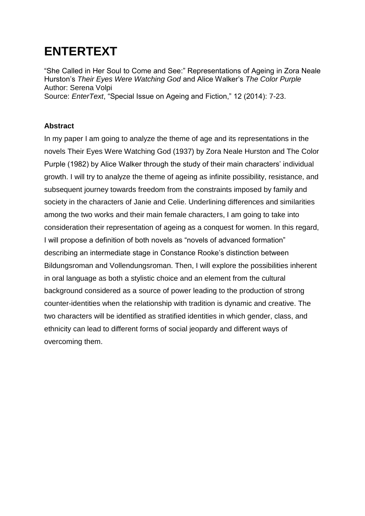## **ENTERTEXT**

"She Called in Her Soul to Come and See:" Representations of Ageing in Zora Neale Hurston's *Their Eyes Were Watching God* and Alice Walker's *The Color Purple* Author: Serena Volpi Source: *EnterText*, "Special Issue on Ageing and Fiction," 12 (2014): 7-23.

## **Abstract**

In my paper I am going to analyze the theme of age and its representations in the novels Their Eyes Were Watching God (1937) by Zora Neale Hurston and The Color Purple (1982) by Alice Walker through the study of their main characters' individual growth. I will try to analyze the theme of ageing as infinite possibility, resistance, and subsequent journey towards freedom from the constraints imposed by family and society in the characters of Janie and Celie. Underlining differences and similarities among the two works and their main female characters, I am going to take into consideration their representation of ageing as a conquest for women. In this regard, I will propose a definition of both novels as "novels of advanced formation" describing an intermediate stage in Constance Rooke's distinction between Bildungsroman and Vollendungsroman. Then, I will explore the possibilities inherent in oral language as both a stylistic choice and an element from the cultural background considered as a source of power leading to the production of strong counter-identities when the relationship with tradition is dynamic and creative. The two characters will be identified as stratified identities in which gender, class, and ethnicity can lead to different forms of social jeopardy and different ways of overcoming them.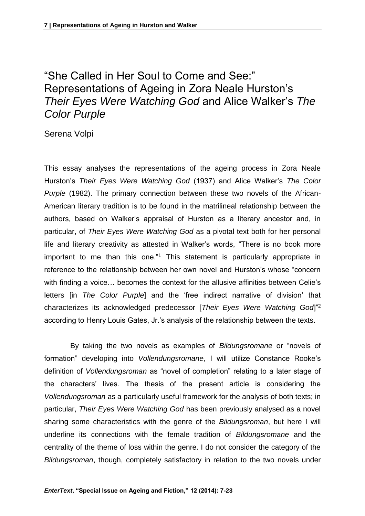## "She Called in Her Soul to Come and See:" Representations of Ageing in Zora Neale Hurston's *Their Eyes Were Watching God* and Alice Walker's *The Color Purple*

Serena Volpi

This essay analyses the representations of the ageing process in Zora Neale Hurston's *Their Eyes Were Watching God* (1937) and Alice Walker's *The Color Purple* (1982). The primary connection between these two novels of the African-American literary tradition is to be found in the matrilineal relationship between the authors, based on Walker's appraisal of Hurston as a literary ancestor and, in particular, of *Their Eyes Were Watching God* as a pivotal text both for her personal life and literary creativity as attested in Walker's words, "There is no book more important to me than this one."<sup>1</sup> This statement is particularly appropriate in reference to the relationship between her own novel and Hurston's whose "concern with finding a voice… becomes the context for the allusive affinities between Celie's letters [in *The Color Purple*] and the 'free indirect narrative of division' that characterizes its acknowledged predecessor [*Their Eyes Were Watching God*]"<sup>2</sup> according to Henry Louis Gates, Jr.'s analysis of the relationship between the texts.

By taking the two novels as examples of *Bildungsromane* or "novels of formation" developing into *Vollendungsromane*, I will utilize Constance Rooke's definition of *Vollendungsroman* as "novel of completion" relating to a later stage of the characters' lives. The thesis of the present article is considering the *Vollendungsroman* as a particularly useful framework for the analysis of both texts; in particular, *Their Eyes Were Watching God* has been previously analysed as a novel sharing some characteristics with the genre of the *Bildungsroman*, but here I will underline its connections with the female tradition of *Bildungsromane* and the centrality of the theme of loss within the genre. I do not consider the category of the *Bildungsroman*, though, completely satisfactory in relation to the two novels under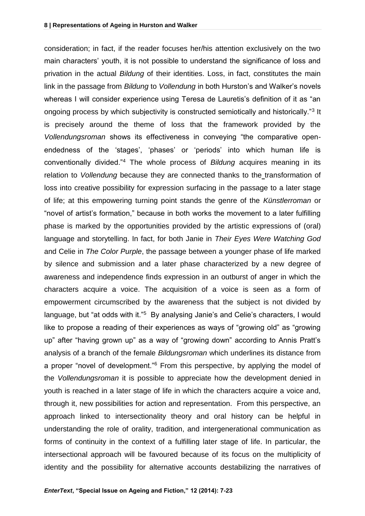consideration; in fact, if the reader focuses her/his attention exclusively on the two main characters' youth, it is not possible to understand the significance of loss and privation in the actual *Bildung* of their identities. Loss, in fact, constitutes the main link in the passage from *Bildung* to *Vollendung* in both Hurston's and Walker's novels whereas I will consider experience using Teresa de Lauretis's definition of it as "an ongoing process by which subjectivity is constructed semiotically and historically."<sup>3</sup> It is precisely around the theme of loss that the framework provided by the *Vollendungsroman* shows its effectiveness in conveying "the comparative openendedness of the 'stages', 'phases' or 'periods' into which human life is conventionally divided."<sup>4</sup> The whole process of *Bildung* acquires meaning in its relation to *Vollendung* because they are connected thanks to the transformation of loss into creative possibility for expression surfacing in the passage to a later stage of life; at this empowering turning point stands the genre of the *Künstlerroman* or "novel of artist's formation," because in both works the movement to a later fulfilling phase is marked by the opportunities provided by the artistic expressions of (oral) language and storytelling. In fact, for both Janie in *Their Eyes Were Watching God*  and Celie in *The Color Purple*, the passage between a younger phase of life marked by silence and submission and a later phase characterized by a new degree of awareness and independence finds expression in an outburst of anger in which the characters acquire a voice. The acquisition of a voice is seen as a form of empowerment circumscribed by the awareness that the subject is not divided by language, but "at odds with it."<sup>5</sup> By analysing Janie's and Celie's characters, I would like to propose a reading of their experiences as ways of "growing old" as "growing up" after "having grown up" as a way of "growing down" according to Annis Pratt's analysis of a branch of the female *Bildungsroman* which underlines its distance from a proper "novel of development."<sup>6</sup> From this perspective, by applying the model of the *Vollendungsroman* it is possible to appreciate how the development denied in youth is reached in a later stage of life in which the characters acquire a voice and, through it, new possibilities for action and representation. From this perspective, an approach linked to intersectionality theory and oral history can be helpful in understanding the role of orality, tradition, and intergenerational communication as forms of continuity in the context of a fulfilling later stage of life. In particular, the intersectional approach will be favoured because of its focus on the multiplicity of identity and the possibility for alternative accounts destabilizing the narratives of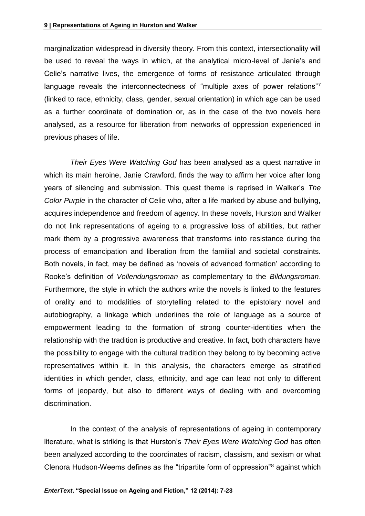marginalization widespread in diversity theory. From this context, intersectionality will be used to reveal the ways in which, at the analytical micro-level of Janie's and Celie's narrative lives, the emergence of forms of resistance articulated through language reveals the interconnectedness of "multiple axes of power relations"7 (linked to race, ethnicity, class, gender, sexual orientation) in which age can be used as a further coordinate of domination or, as in the case of the two novels here analysed, as a resource for liberation from networks of oppression experienced in previous phases of life.

*Their Eyes Were Watching God* has been analysed as a quest narrative in which its main heroine, Janie Crawford, finds the way to affirm her voice after long years of silencing and submission. This quest theme is reprised in Walker's *The Color Purple* in the character of Celie who, after a life marked by abuse and bullying, acquires independence and freedom of agency. In these novels, Hurston and Walker do not link representations of ageing to a progressive loss of abilities, but rather mark them by a progressive awareness that transforms into resistance during the process of emancipation and liberation from the familial and societal constraints. Both novels, in fact, may be defined as 'novels of advanced formation' according to Rooke's definition of *Vollendungsroman* as complementary to the *Bildungsroman*. Furthermore, the style in which the authors write the novels is linked to the features of orality and to modalities of storytelling related to the epistolary novel and autobiography, a linkage which underlines the role of language as a source of empowerment leading to the formation of strong counter-identities when the relationship with the tradition is productive and creative. In fact, both characters have the possibility to engage with the cultural tradition they belong to by becoming active representatives within it. In this analysis, the characters emerge as stratified identities in which gender, class, ethnicity, and age can lead not only to different forms of jeopardy, but also to different ways of dealing with and overcoming discrimination.

In the context of the analysis of representations of ageing in contemporary literature, what is striking is that Hurston's *Their Eyes Were Watching God* has often been analyzed according to the coordinates of racism, classism, and sexism or what Clenora Hudson-Weems defines as the "tripartite form of oppression"<sup>8</sup> against which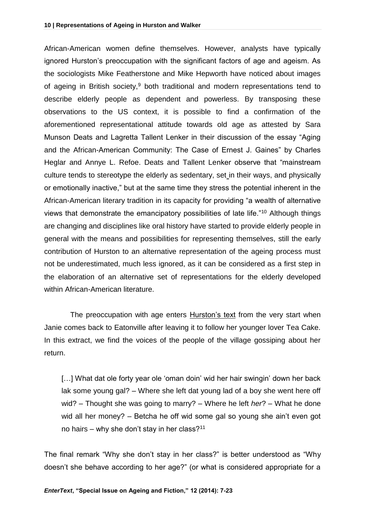African-American women define themselves. However, analysts have typically ignored Hurston's preoccupation with the significant factors of age and ageism. As the sociologists Mike Featherstone and Mike Hepworth have noticed about images of ageing in British society,<sup>9</sup> both traditional and modern representations tend to describe elderly people as dependent and powerless. By transposing these observations to the US context, it is possible to find a confirmation of the aforementioned representational attitude towards old age as attested by Sara Munson Deats and Lagretta Tallent Lenker in their discussion of the essay "Aging and the African-American Community: The Case of Ernest J. Gaines" by Charles Heglar and Annye L. Refoe. Deats and Tallent Lenker observe that "mainstream culture tends to stereotype the elderly as sedentary, set in their ways, and physically or emotionally inactive," but at the same time they stress the potential inherent in the African-American literary tradition in its capacity for providing "a wealth of alternative views that demonstrate the emancipatory possibilities of late life."<sup>10</sup> Although things are changing and disciplines like oral history have started to provide elderly people in general with the means and possibilities for representing themselves, still the early contribution of Hurston to an alternative representation of the ageing process must not be underestimated, much less ignored, as it can be considered as a first step in the elaboration of an alternative set of representations for the elderly developed within African-American literature.

The preoccupation with age enters Hurston's text from the very start when Janie comes back to Eatonville after leaving it to follow her younger lover Tea Cake. In this extract, we find the voices of the people of the village gossiping about her return.

[...] What dat ole forty year ole 'oman doin' wid her hair swingin' down her back lak some young gal? – Where she left dat young lad of a boy she went here off wid? – Thought she was going to marry? – Where he left *her*? – What he done wid all her money? – Betcha he off wid some gal so young she ain't even got no hairs – why she don't stay in her class?<sup>11</sup>

The final remark "Why she don't stay in her class?" is better understood as "Why doesn't she behave according to her age?" (or what is considered appropriate for a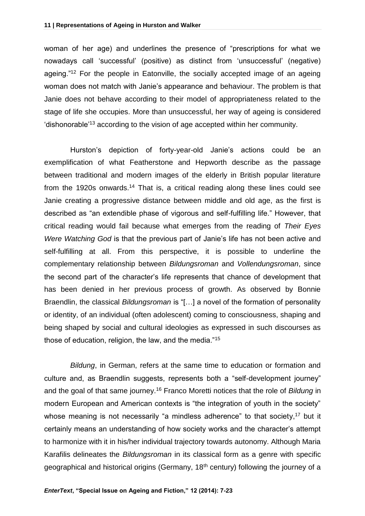woman of her age) and underlines the presence of "prescriptions for what we nowadays call 'successful' (positive) as distinct from 'unsuccessful' (negative) ageing."<sup>12</sup> For the people in Eatonville, the socially accepted image of an ageing woman does not match with Janie's appearance and behaviour. The problem is that Janie does not behave according to their model of appropriateness related to the stage of life she occupies. More than unsuccessful, her way of ageing is considered 'dishonorable'<sup>13</sup> according to the vision of age accepted within her community.

Hurston's depiction of forty-year-old Janie's actions could be an exemplification of what Featherstone and Hepworth describe as the passage between traditional and modern images of the elderly in British popular literature from the 1920s onwards.<sup>14</sup> That is, a critical reading along these lines could see Janie creating a progressive distance between middle and old age, as the first is described as "an extendible phase of vigorous and self-fulfilling life." However, that critical reading would fail because what emerges from the reading of *Their Eyes Were Watching God* is that the previous part of Janie's life has not been active and self-fulfilling at all. From this perspective, it is possible to underline the complementary relationship between *Bildungsroman* and *Vollendungsroman*, since the second part of the character's life represents that chance of development that has been denied in her previous process of growth. As observed by Bonnie Braendlin, the classical *Bildungsroman* is "[…] a novel of the formation of personality or identity, of an individual (often adolescent) coming to consciousness, shaping and being shaped by social and cultural ideologies as expressed in such discourses as those of education, religion, the law, and the media."<sup>15</sup>

*Bildung*, in German, refers at the same time to education or formation and culture and, as Braendlin suggests, represents both a "self-development journey" and the goal of that same journey.<sup>16</sup> Franco Moretti notices that the role of *Bildung* in modern European and American contexts is "the integration of youth in the society" whose meaning is not necessarily "a mindless adherence" to that society, $17$  but it certainly means an understanding of how society works and the character's attempt to harmonize with it in his/her individual trajectory towards autonomy. Although Maria Karafilis delineates the *Bildungsroman* in its classical form as a genre with specific geographical and historical origins (Germany, 18<sup>th</sup> century) following the journey of a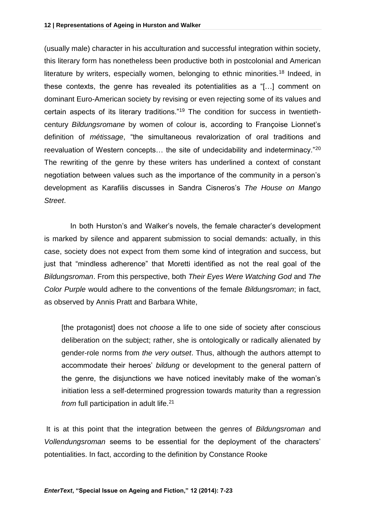(usually male) character in his acculturation and successful integration within society, this literary form has nonetheless been productive both in postcolonial and American literature by writers, especially women, belonging to ethnic minorities.<sup>18</sup> Indeed, in these contexts, the genre has revealed its potentialities as a "[…] comment on dominant Euro-American society by revising or even rejecting some of its values and certain aspects of its literary traditions."<sup>19</sup> The condition for success in twentiethcentury *Bildungsromane* by women of colour is, according to Françoise Lionnet's definition of *métissage*, "the simultaneous revalorization of oral traditions and reevaluation of Western concepts... the site of undecidability and indeterminacy."<sup>20</sup> The rewriting of the genre by these writers has underlined a context of constant negotiation between values such as the importance of the community in a person's development as Karafilis discusses in Sandra Cisneros's *The House on Mango Street*.

In both Hurston's and Walker's novels, the female character's development is marked by silence and apparent submission to social demands: actually, in this case, society does not expect from them some kind of integration and success, but just that "mindless adherence" that Moretti identified as not the real goal of the *Bildungsroman*. From this perspective, both *Their Eyes Were Watching God* and *The Color Purple* would adhere to the conventions of the female *Bildungsroman*; in fact, as observed by Annis Pratt and Barbara White,

[the protagonist] does not *choose* a life to one side of society after conscious deliberation on the subject; rather, she is ontologically or radically alienated by gender-role norms from *the very outset*. Thus, although the authors attempt to accommodate their heroes' *bildung* or development to the general pattern of the genre, the disjunctions we have noticed inevitably make of the woman's initiation less a self-determined progression towards maturity than a regression *from* full participation in adult life.<sup>21</sup>

It is at this point that the integration between the genres of *Bildungsroman* and *Vollendungsroman* seems to be essential for the deployment of the characters' potentialities. In fact, according to the definition by Constance Rooke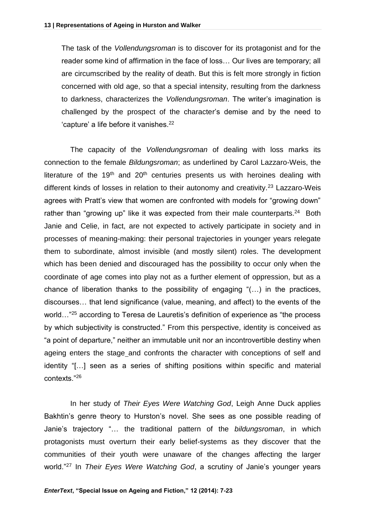The task of the *Vollendungsroman* is to discover for its protagonist and for the reader some kind of affirmation in the face of loss… Our lives are temporary; all are circumscribed by the reality of death. But this is felt more strongly in fiction concerned with old age, so that a special intensity, resulting from the darkness to darkness, characterizes the *Vollendungsroman*. The writer's imagination is challenged by the prospect of the character's demise and by the need to 'capture' a life before it vanishes.<sup>22</sup>

The capacity of the *Vollendungsroman* of dealing with loss marks its connection to the female *Bildungsroman*; as underlined by Carol Lazzaro-Weis, the literature of the 19<sup>th</sup> and 20<sup>th</sup> centuries presents us with heroines dealing with different kinds of losses in relation to their autonomy and creativity.<sup>23</sup> Lazzaro-Weis agrees with Pratt's view that women are confronted with models for "growing down" rather than "growing up" like it was expected from their male counterparts.<sup>24</sup> Both Janie and Celie, in fact, are not expected to actively participate in society and in processes of meaning-making: their personal trajectories in younger years relegate them to subordinate, almost invisible (and mostly silent) roles. The development which has been denied and discouraged has the possibility to occur only when the coordinate of age comes into play not as a further element of oppression, but as a chance of liberation thanks to the possibility of engaging "(…) in the practices, discourses… that lend significance (value, meaning, and affect) to the events of the world..."<sup>25</sup> according to Teresa de Lauretis's definition of experience as "the process" by which subjectivity is constructed." From this perspective, identity is conceived as "a point of departure," neither an immutable unit nor an incontrovertible destiny when ageing enters the stage and confronts the character with conceptions of self and identity "[…] seen as a series of shifting positions within specific and material contexts."<sup>26</sup>

In her study of *Their Eyes Were Watching God*, Leigh Anne Duck applies Bakhtin's genre theory to Hurston's novel. She sees as one possible reading of Janie's trajectory "… the traditional pattern of the *bildungsroman*, in which protagonists must overturn their early belief-systems as they discover that the communities of their youth were unaware of the changes affecting the larger world."<sup>27</sup> In *Their Eyes Were Watching God*, a scrutiny of Janie's younger years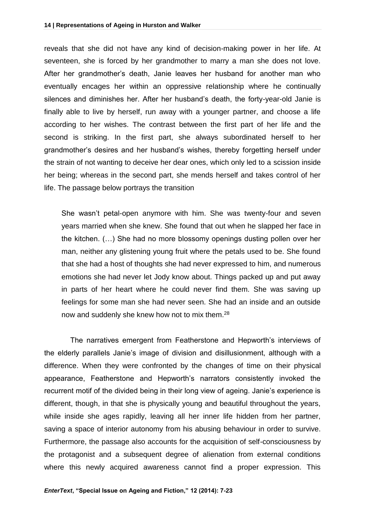reveals that she did not have any kind of decision-making power in her life. At seventeen, she is forced by her grandmother to marry a man she does not love. After her grandmother's death, Janie leaves her husband for another man who eventually encages her within an oppressive relationship where he continually silences and diminishes her. After her husband's death, the forty-year-old Janie is finally able to live by herself, run away with a younger partner, and choose a life according to her wishes. The contrast between the first part of her life and the second is striking. In the first part, she always subordinated herself to her grandmother's desires and her husband's wishes, thereby forgetting herself under the strain of not wanting to deceive her dear ones, which only led to a scission inside her being; whereas in the second part, she mends herself and takes control of her life. The passage below portrays the transition

She wasn't petal-open anymore with him. She was twenty-four and seven years married when she knew. She found that out when he slapped her face in the kitchen. (…) She had no more blossomy openings dusting pollen over her man, neither any glistening young fruit where the petals used to be. She found that she had a host of thoughts she had never expressed to him, and numerous emotions she had never let Jody know about. Things packed up and put away in parts of her heart where he could never find them. She was saving up feelings for some man she had never seen. She had an inside and an outside now and suddenly she knew how not to mix them.<sup>28</sup>

The narratives emergent from Featherstone and Hepworth's interviews of the elderly parallels Janie's image of division and disillusionment, although with a difference. When they were confronted by the changes of time on their physical appearance, Featherstone and Hepworth's narrators consistently invoked the recurrent motif of the divided being in their long view of ageing. Janie's experience is different, though, in that she is physically young and beautiful throughout the years, while inside she ages rapidly, leaving all her inner life hidden from her partner, saving a space of interior autonomy from his abusing behaviour in order to survive. Furthermore, the passage also accounts for the acquisition of self-consciousness by the protagonist and a subsequent degree of alienation from external conditions where this newly acquired awareness cannot find a proper expression. This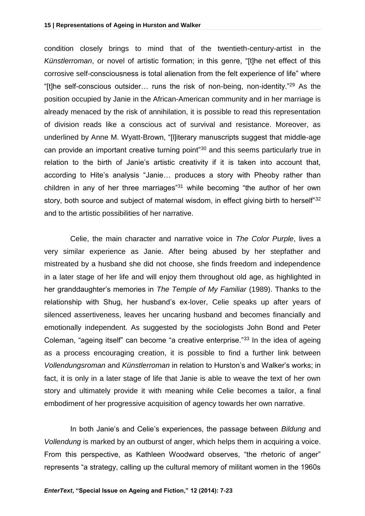condition closely brings to mind that of the twentieth-century-artist in the *Künstlerroman*, or novel of artistic formation; in this genre, "[t]he net effect of this corrosive self-consciousness is total alienation from the felt experience of life" where "[t]he self-conscious outsider… runs the risk of non-being, non-identity."<sup>29</sup> As the position occupied by Janie in the African-American community and in her marriage is already menaced by the risk of annihilation, it is possible to read this representation of division reads like a conscious act of survival and resistance. Moreover, as underlined by Anne M. Wyatt-Brown, "[l]iterary manuscripts suggest that middle-age can provide an important creative turning point"<sup>30</sup> and this seems particularly true in relation to the birth of Janie's artistic creativity if it is taken into account that, according to Hite's analysis "Janie… produces a story with Pheoby rather than children in any of her three marriages"<sup>31</sup> while becoming "the author of her own story, both source and subject of maternal wisdom, in effect giving birth to herself"32 and to the artistic possibilities of her narrative.

Celie, the main character and narrative voice in *The Color Purple*, lives a very similar experience as Janie. After being abused by her stepfather and mistreated by a husband she did not choose, she finds freedom and independence in a later stage of her life and will enjoy them throughout old age, as highlighted in her granddaughter's memories in *The Temple of My Familiar* (1989). Thanks to the relationship with Shug, her husband's ex-lover, Celie speaks up after years of silenced assertiveness, leaves her uncaring husband and becomes financially and emotionally independent. As suggested by the sociologists John Bond and Peter Coleman, "ageing itself" can become "a creative enterprise."<sup>33</sup> In the idea of ageing as a process encouraging creation, it is possible to find a further link between *Vollendungsroman* and *Künstlerroman* in relation to Hurston's and Walker's works; in fact, it is only in a later stage of life that Janie is able to weave the text of her own story and ultimately provide it with meaning while Celie becomes a tailor, a final embodiment of her progressive acquisition of agency towards her own narrative.

In both Janie's and Celie's experiences, the passage between *Bildung* and *Vollendung* is marked by an outburst of anger, which helps them in acquiring a voice. From this perspective, as Kathleen Woodward observes, "the rhetoric of anger" represents "a strategy, calling up the cultural memory of militant women in the 1960s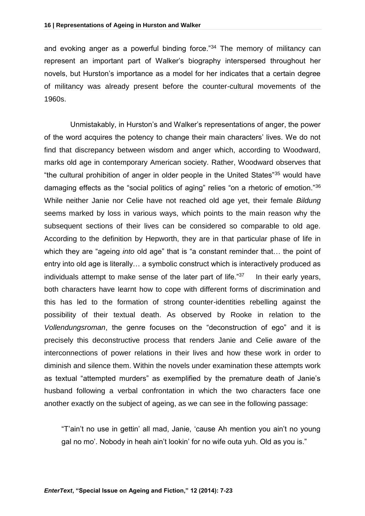and evoking anger as a powerful binding force."<sup>34</sup> The memory of militancy can represent an important part of Walker's biography interspersed throughout her novels, but Hurston's importance as a model for her indicates that a certain degree of militancy was already present before the counter-cultural movements of the 1960s.

Unmistakably, in Hurston's and Walker's representations of anger, the power of the word acquires the potency to change their main characters' lives. We do not find that discrepancy between wisdom and anger which, according to Woodward, marks old age in contemporary American society. Rather, Woodward observes that "the cultural prohibition of anger in older people in the United States"<sup>35</sup> would have damaging effects as the "social politics of aging" relies "on a rhetoric of emotion."<sup>36</sup> While neither Janie nor Celie have not reached old age yet, their female *Bildung* seems marked by loss in various ways, which points to the main reason why the subsequent sections of their lives can be considered so comparable to old age. According to the definition by Hepworth, they are in that particular phase of life in which they are "ageing *into* old age" that is "a constant reminder that… the point of entry into old age is literally… a symbolic construct which is interactively produced as individuals attempt to make sense of the later part of life."<sup>37</sup> In their early years, both characters have learnt how to cope with different forms of discrimination and this has led to the formation of strong counter-identities rebelling against the possibility of their textual death. As observed by Rooke in relation to the *Vollendungsroman*, the genre focuses on the "deconstruction of ego" and it is precisely this deconstructive process that renders Janie and Celie aware of the interconnections of power relations in their lives and how these work in order to diminish and silence them. Within the novels under examination these attempts work as textual "attempted murders" as exemplified by the premature death of Janie's husband following a verbal confrontation in which the two characters face one another exactly on the subject of ageing, as we can see in the following passage:

"T'ain't no use in gettin' all mad, Janie, 'cause Ah mention you ain't no young gal no mo'. Nobody in heah ain't lookin' for no wife outa yuh. Old as you is."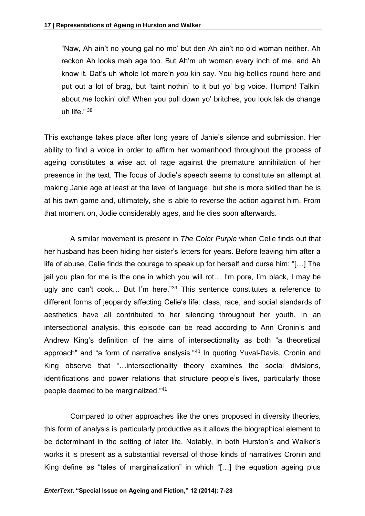"Naw, Ah ain't no young gal no mo' but den Ah ain't no old woman neither. Ah reckon Ah looks mah age too. But Ah'm uh woman every inch of me, and Ah know it. Dat's uh whole lot more'n *you* kin say. You big-bellies round here and put out a lot of brag, but 'taint nothin' to it but yo' big voice. Humph! Talkin' about *me* lookin' old! When you pull down yo' britches, you look lak de change uh life." <sup>38</sup>

This exchange takes place after long years of Janie's silence and submission. Her ability to find a voice in order to affirm her womanhood throughout the process of ageing constitutes a wise act of rage against the premature annihilation of her presence in the text. The focus of Jodie's speech seems to constitute an attempt at making Janie age at least at the level of language, but she is more skilled than he is at his own game and, ultimately, she is able to reverse the action against him. From that moment on, Jodie considerably ages, and he dies soon afterwards.

A similar movement is present in *The Color Purple* when Celie finds out that her husband has been hiding her sister's letters for years. Before leaving him after a life of abuse, Celie finds the courage to speak up for herself and curse him: "[…] The jail you plan for me is the one in which you will rot… I'm pore, I'm black, I may be ugly and can't cook... But I'm here."<sup>39</sup> This sentence constitutes a reference to different forms of jeopardy affecting Celie's life: class, race, and social standards of aesthetics have all contributed to her silencing throughout her youth. In an intersectional analysis, this episode can be read according to Ann Cronin's and Andrew King's definition of the aims of intersectionality as both "a theoretical approach" and "a form of narrative analysis."<sup>40</sup> In quoting Yuval-Davis, Cronin and King observe that "…intersectionality theory examines the social divisions, identifications and power relations that structure people's lives, particularly those people deemed to be marginalized."<sup>41</sup>

Compared to other approaches like the ones proposed in diversity theories, this form of analysis is particularly productive as it allows the biographical element to be determinant in the setting of later life. Notably, in both Hurston's and Walker's works it is present as a substantial reversal of those kinds of narratives Cronin and King define as "tales of marginalization" in which "[…] the equation ageing plus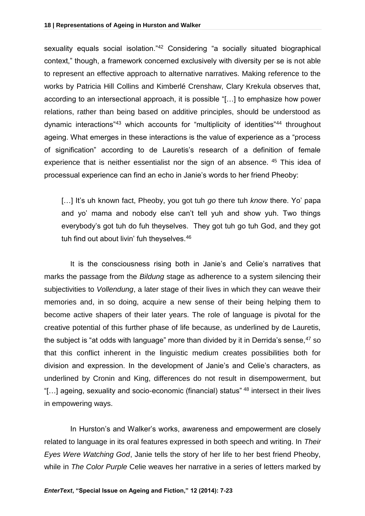sexuality equals social isolation."<sup>42</sup> Considering "a socially situated biographical context," though, a framework concerned exclusively with diversity per se is not able to represent an effective approach to alternative narratives. Making reference to the works by Patricia Hill Collins and Kimberlé Crenshaw, Clary Krekula observes that, according to an intersectional approach, it is possible "[…] to emphasize how power relations, rather than being based on additive principles, should be understood as dynamic interactions"<sup>43</sup> which accounts for "multiplicity of identities"<sup>44</sup> throughout ageing. What emerges in these interactions is the value of experience as a "process of signification" according to de Lauretis's research of a definition of female experience that is neither essentialist nor the sign of an absence. <sup>45</sup> This idea of processual experience can find an echo in Janie's words to her friend Pheoby:

[…] It's uh known fact, Pheoby, you got tuh *go* there tuh *know* there. Yo' papa and yo' mama and nobody else can't tell yuh and show yuh. Two things everybody's got tuh do fuh theyselves. They got tuh go tuh God, and they got tuh find out about livin' fuh theyselves.<sup>46</sup>

It is the consciousness rising both in Janie's and Celie's narratives that marks the passage from the *Bildung* stage as adherence to a system silencing their subjectivities to *Vollendung*, a later stage of their lives in which they can weave their memories and, in so doing, acquire a new sense of their being helping them to become active shapers of their later years. The role of language is pivotal for the creative potential of this further phase of life because, as underlined by de Lauretis, the subject is "at odds with language" more than divided by it in Derrida's sense,  $47$  so that this conflict inherent in the linguistic medium creates possibilities both for division and expression. In the development of Janie's and Celie's characters, as underlined by Cronin and King, differences do not result in disempowerment, but "[…] ageing, sexuality and socio-economic (financial) status" <sup>48</sup> intersect in their lives in empowering ways.

In Hurston's and Walker's works, awareness and empowerment are closely related to language in its oral features expressed in both speech and writing. In *Their Eyes Were Watching God*, Janie tells the story of her life to her best friend Pheoby, while in *The Color Purple* Celie weaves her narrative in a series of letters marked by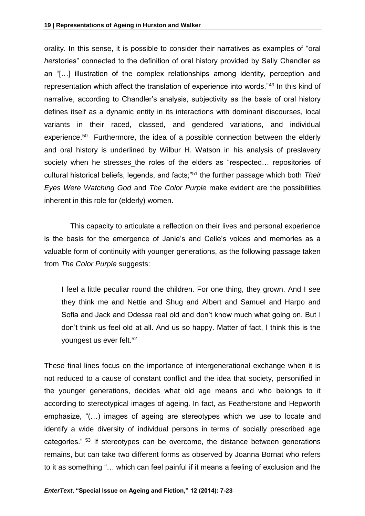orality. In this sense, it is possible to consider their narratives as examples of "oral *herstories*" connected to the definition of oral history provided by Sally Chandler as an "[…] illustration of the complex relationships among identity, perception and representation which affect the translation of experience into words."<sup>49</sup> In this kind of narrative, according to Chandler's analysis, subjectivity as the basis of oral history defines itself as a dynamic entity in its interactions with dominant discourses, local variants in their raced, classed, and gendered variations, and individual experience.<sup>50</sup> Furthermore, the idea of a possible connection between the elderly and oral history is underlined by Wilbur H. Watson in his analysis of preslavery society when he stresses the roles of the elders as "respected… repositories of cultural historical beliefs, legends, and facts;"<sup>51</sup> the further passage which both *Their Eyes Were Watching God* and *The Color Purple* make evident are the possibilities inherent in this role for (elderly) women.

This capacity to articulate a reflection on their lives and personal experience is the basis for the emergence of Janie's and Celie's voices and memories as a valuable form of continuity with younger generations, as the following passage taken from *The Color Purple* suggests:

I feel a little peculiar round the children. For one thing, they grown. And I see they think me and Nettie and Shug and Albert and Samuel and Harpo and Sofia and Jack and Odessa real old and don't know much what going on. But I don't think us feel old at all. And us so happy. Matter of fact, I think this is the youngest us ever felt.<sup>52</sup>

These final lines focus on the importance of intergenerational exchange when it is not reduced to a cause of constant conflict and the idea that society, personified in the younger generations, decides what old age means and who belongs to it according to stereotypical images of ageing. In fact, as Featherstone and Hepworth emphasize, "(…) images of ageing are stereotypes which we use to locate and identify a wide diversity of individual persons in terms of socially prescribed age categories." <sup>53</sup> If stereotypes can be overcome, the distance between generations remains, but can take two different forms as observed by Joanna Bornat who refers to it as something "… which can feel painful if it means a feeling of exclusion and the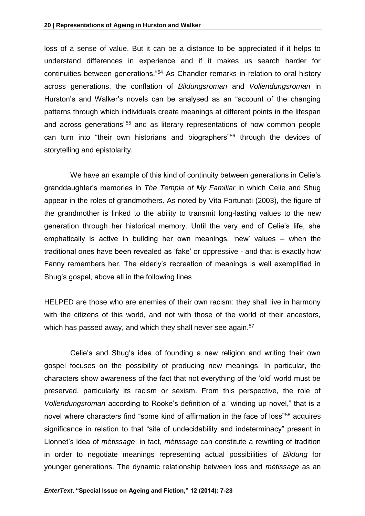loss of a sense of value. But it can be a distance to be appreciated if it helps to understand differences in experience and if it makes us search harder for continuities between generations."<sup>54</sup> As Chandler remarks in relation to oral history across generations, the conflation of *Bildungsroman* and *Vollendungsroman* in Hurston's and Walker's novels can be analysed as an "account of the changing patterns through which individuals create meanings at different points in the lifespan and across generations"<sup>55</sup> and as literary representations of how common people can turn into "their own historians and biographers"<sup>56</sup> through the devices of storytelling and epistolarity.

We have an example of this kind of continuity between generations in Celie's granddaughter's memories in *The Temple of My Familiar* in which Celie and Shug appear in the roles of grandmothers. As noted by Vita Fortunati (2003), the figure of the grandmother is linked to the ability to transmit long-lasting values to the new generation through her historical memory. Until the very end of Celie's life, she emphatically is active in building her own meanings, 'new' values – when the traditional ones have been revealed as 'fake' or oppressive - and that is exactly how Fanny remembers her. The elderly's recreation of meanings is well exemplified in Shug's gospel, above all in the following lines

HELPED are those who are enemies of their own racism: they shall live in harmony with the citizens of this world, and not with those of the world of their ancestors, which has passed away, and which they shall never see again.<sup>57</sup>

Celie's and Shug's idea of founding a new religion and writing their own gospel focuses on the possibility of producing new meanings. In particular, the characters show awareness of the fact that not everything of the 'old' world must be preserved, particularly its racism or sexism. From this perspective, the role of *Vollendungsroman* according to Rooke's definition of a "winding up novel," that is a novel where characters find "some kind of affirmation in the face of loss"<sup>58</sup> acquires significance in relation to that "site of undecidability and indeterminacy" present in Lionnet's idea of *métissage*; in fact, *métissage* can constitute a rewriting of tradition in order to negotiate meanings representing actual possibilities of *Bildung* for younger generations. The dynamic relationship between loss and *métissage* as an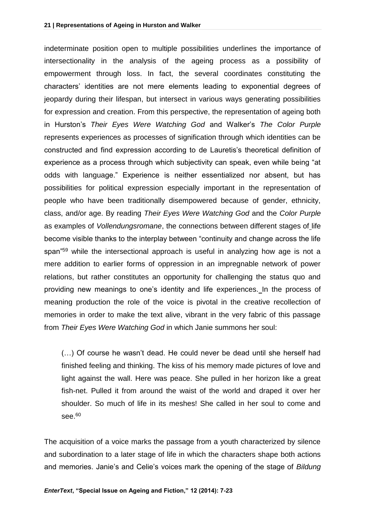indeterminate position open to multiple possibilities underlines the importance of intersectionality in the analysis of the ageing process as a possibility of empowerment through loss. In fact, the several coordinates constituting the characters' identities are not mere elements leading to exponential degrees of jeopardy during their lifespan, but intersect in various ways generating possibilities for expression and creation. From this perspective, the representation of ageing both in Hurston's *Their Eyes Were Watching God* and Walker's *The Color Purple*  represents experiences as processes of signification through which identities can be constructed and find expression according to de Lauretis's theoretical definition of experience as a process through which subjectivity can speak, even while being "at odds with language." Experience is neither essentialized nor absent, but has possibilities for political expression especially important in the representation of people who have been traditionally disempowered because of gender, ethnicity, class, and/or age. By reading *Their Eyes Were Watching God* and the *Color Purple* as examples of *Vollendungsromane*, the connections between different stages of life become visible thanks to the interplay between "continuity and change across the life span<sup>"59</sup> while the intersectional approach is useful in analyzing how age is not a mere addition to earlier forms of oppression in an impregnable network of power relations, but rather constitutes an opportunity for challenging the status quo and providing new meanings to one's identity and life experiences. In the process of meaning production the role of the voice is pivotal in the creative recollection of memories in order to make the text alive, vibrant in the very fabric of this passage from *Their Eyes Were Watching God* in which Janie summons her soul:

(…) Of course he wasn't dead. He could never be dead until she herself had finished feeling and thinking. The kiss of his memory made pictures of love and light against the wall. Here was peace. She pulled in her horizon like a great fish-net. Pulled it from around the waist of the world and draped it over her shoulder. So much of life in its meshes! She called in her soul to come and see. $60$ 

The acquisition of a voice marks the passage from a youth characterized by silence and subordination to a later stage of life in which the characters shape both actions and memories. Janie's and Celie's voices mark the opening of the stage of *Bildung*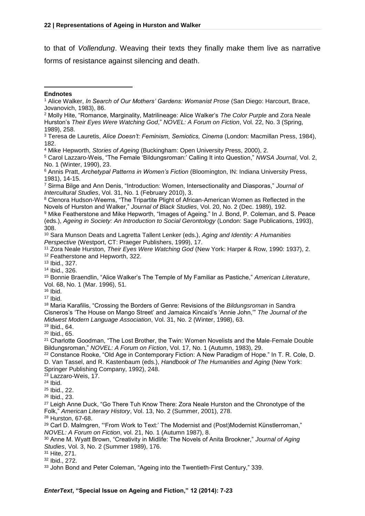to that of *Vollendung*. Weaving their texts they finally make them live as narrative forms of resistance against silencing and death.

<sup>2</sup> Molly Hite, "Romance, Marginality, Matrilineage: Alice Walker's *The Color Purple* and Zora Neale Hurston's *Their Eyes Were Watching God*," *NOVEL: A Forum on Fiction*, Vol. 22, No. 3 (Spring, 1989), 258.

<sup>5</sup> Carol Lazzaro-Weis, "The Female 'Bildungsroman:' Calling It into Question," *NWSA Journal*, Vol. 2, No. 1 (Winter, 1990), 23.

<sup>6</sup> Annis Pratt, *Archetypal Patterns in Women's Fiction* (Bloomington, IN: Indiana University Press, 1981), 14-15.

<sup>7</sup> Sirma Bilge and Ann Denis, "Introduction: Women, Intersectionality and Diasporas," *Journal of Intercultural Studies*, Vol. 31, No. 1 (February 2010), 3.

<sup>8</sup> Clenora Hudson-Weems, "The Tripartite Plight of African-American Women as Reflected in the Novels of Hurston and Walker," *Journal of Black Studies*, Vol. 20, No. 2 (Dec. 1989), 192.

<sup>9</sup> Mike Featherstone and Mike Hepworth, "Images of Ageing." In J. Bond, P. Coleman, and S. Peace (eds.), *Ageing in Society: An Introduction to Social Gerontology* (London: Sage Publications, 1993), 308.

<sup>10</sup> Sara Munson Deats and Lagretta Tallent Lenker (eds.), *Aging and Identity: A Humanities Perspective* (Westport, CT: Praeger Publishers, 1999), 17.

<sup>11</sup> Zora Neale Hurston, *Their Eyes Were Watching God* (New York: Harper & Row, 1990: 1937), 2. <sup>12</sup> Featherstone and Hepworth, 322.

<sup>13</sup> Ibid., 327.

<sup>14</sup> Ibid., 326.

<sup>15</sup> Bonnie Braendlin, "Alice Walker's The Temple of My Familiar as Pastiche," *American Literature*, Vol. 68, No. 1 (Mar. 1996), 51.

 $16$  Ibid.

 $17$  Ibid.

<sup>18</sup> Maria Karafilis, "Crossing the Borders of Genre: Revisions of the *Bildungsroman* in Sandra Cisneros's 'The House on Mango Street' and Jamaica Kincaid's 'Annie John,'" *The Journal of the Midwest Modern Language Association*, Vol. 31, No. 2 (Winter, 1998), 63.

<sup>19</sup> Ibid., 64.

<sup>20</sup> Ibid., 65.

<sup>21</sup> Charlotte Goodman, "The Lost Brother, the Twin: Women Novelists and the Male-Female Double Bildungsroman," *NOVEL: A Forum on Fiction*, Vol. 17, No. 1 (Autumn, 1983), 29.

<sup>22</sup> Constance Rooke, "Old Age in Contemporary Fiction: A New Paradigm of Hope." In T. R. Cole, D. D. Van Tassel, and R. Kastenbaum (eds.), *Handbook of The Humanities and Aging* (New York: Springer Publishing Company, 1992), 248.

<sup>23</sup> Lazzaro-Weis, 17.

<sup>24</sup> Ibid.

<sup>25</sup> Ibid., 22.

<sup>26</sup> Ibid., 23.

<sup>27</sup> Leigh Anne Duck, "Go There Tuh Know There: Zora Neale Hurston and the Chronotype of the Folk," *American Literary History*, Vol. 13, No. 2 (Summer, 2001), 278.

<sup>28</sup> Hurston, 67-68.

<sup>29</sup> Carl D. Malmgren, "From Work to Text:' The Modernist and (Post)Modernist Künstlerroman," *NOVEL: A Forum on Fiction*, vol. 21, No. 1 (Autumn 1987), 8.

<sup>30</sup> Anne M. Wyatt Brown, "Creativity in Midlife: The Novels of Anita Brookner," *Journal of Aging Studies*, Vol. 3, No. 2 (Summer 1989), 176.

<sup>31</sup> Hite, 271.

<sup>32</sup> Ibid., 272.

<sup>33</sup> John Bond and Peter Coleman, "Ageing into the Twentieth-First Century," 339.

 $\overline{a}$ **Endnotes**

<sup>1</sup> Alice Walker, *In Search of Our Mothers' Gardens: Womanist Prose* (San Diego: Harcourt, Brace, Jovanovich, 1983), 86.

<sup>3</sup> Teresa de Lauretis, *Alice Doesn't: Feminism, Semiotics, Cinema* (London: Macmillan Press, 1984), 182.

<sup>4</sup> Mike Hepworth, *Stories of Ageing* (Buckingham: Open University Press, 2000), 2.